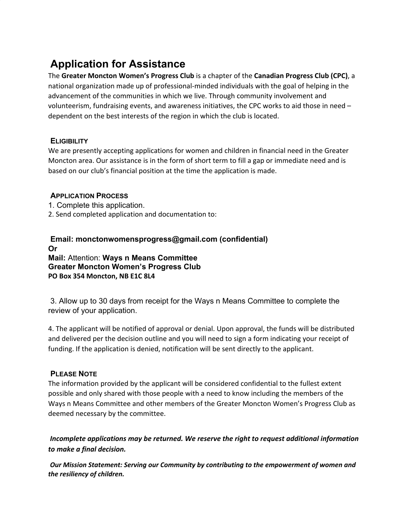# **Application for Assistance**

The **Greater Moncton Women's Progress Club** is a chapter of the **Canadian Progress Club (CPC)**, a national organization made up of professional-minded individuals with the goal of helping in the advancement of the communities in which we live. Through community involvement and volunteerism, fundraising events, and awareness initiatives, the CPC works to aid those in need – dependent on the best interests of the region in which the club is located.

## **ELIGIBILITY**

We are presently accepting applications for women and children in financial need in the Greater Moncton area. Our assistance is in the form of short term to fill a gap or immediate need and is based on our club's financial position at the time the application is made.

## **APPLICATION PROCESS**

- 1. Complete this application.
- 2. Send completed application and documentation to:

### **Email: monctonwomensprogress@gmail.com (confidential) Or Mail:** Attention: **Ways n Means Committee Greater Moncton Women's Progress Club PO Box 354 Moncton, NB E1C 8L4**

3. Allow up to 30 days from receipt for the Ways n Means Committee to complete the review of your application.

4. The applicant will be notified of approval or denial. Upon approval, the funds will be distributed and delivered per the decision outline and you will need to sign a form indicating your receipt of funding. If the application is denied, notification will be sent directly to the applicant.

## **PLEASE NOTE**

The information provided by the applicant will be considered confidential to the fullest extent possible and only shared with those people with a need to know including the members of the Ways n Means Committee and other members of the Greater Moncton Women's Progress Club as deemed necessary by the committee.

*Incomplete applications may be returned. We reserve the right to request additional information to make a final decision.*

*Our Mission Statement: Serving our Community by contributing to the empowerment of women and the resiliency of children.*